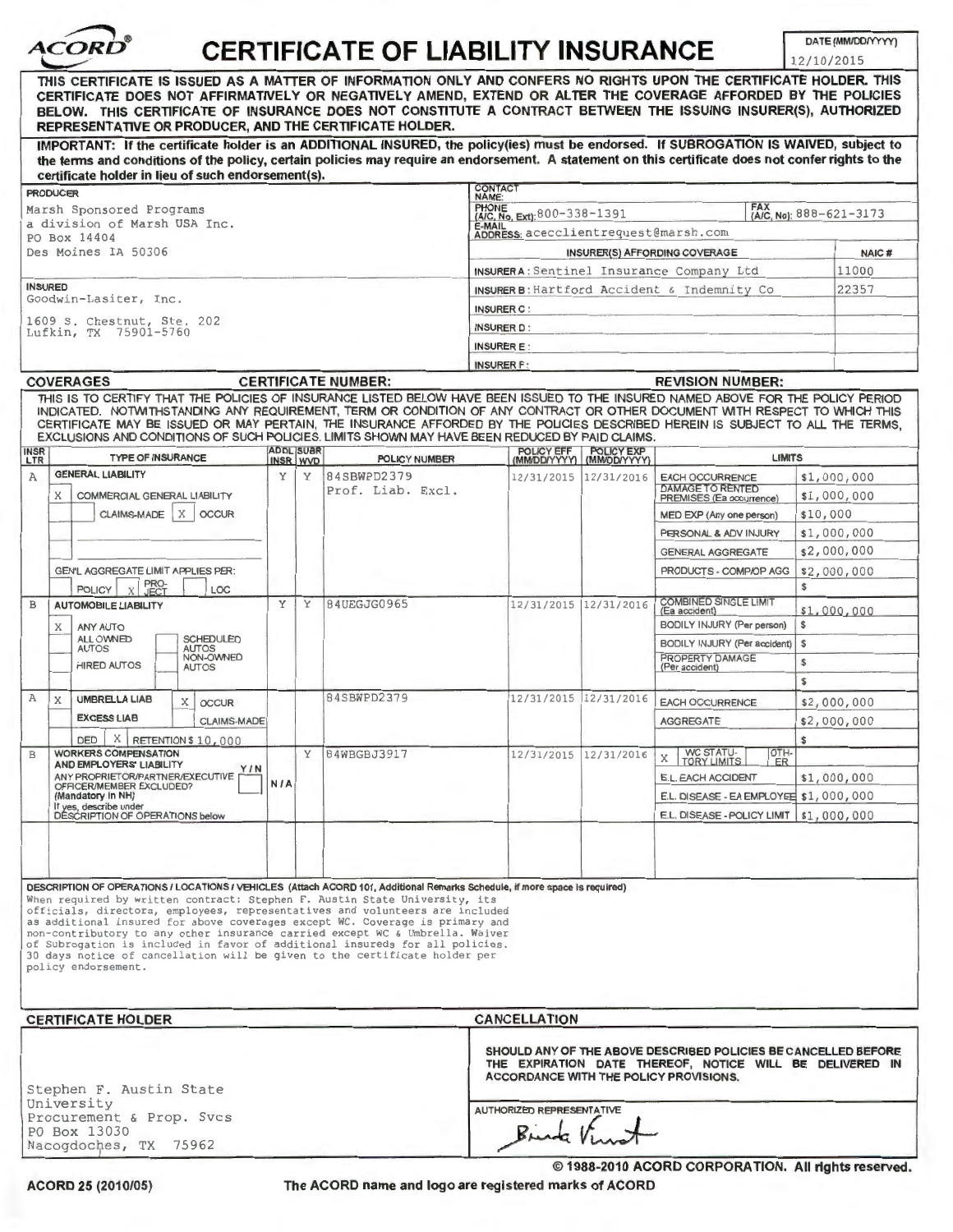| <b>CERTIFICATE OF LIABILITY INSURANCE</b>           |                                                                                                                                                                                                                                                                                                                                                                                                                                                                                                    |            |                   |                                  |                                                                                                                                                                             |                                                    |                                                      | DATE (MM/DD/YYYY)<br>12/10/2015 |             |
|-----------------------------------------------------|----------------------------------------------------------------------------------------------------------------------------------------------------------------------------------------------------------------------------------------------------------------------------------------------------------------------------------------------------------------------------------------------------------------------------------------------------------------------------------------------------|------------|-------------------|----------------------------------|-----------------------------------------------------------------------------------------------------------------------------------------------------------------------------|----------------------------------------------------|------------------------------------------------------|---------------------------------|-------------|
|                                                     | THIS CERTIFICATE IS ISSUED AS A MATTER OF INFORMATION ONLY AND CONFERS NO RIGHTS UPON THE CERTIFICATE HOLDER. THIS<br>CERTIFICATE DOES NOT AFFIRMATIVELY OR NEGATIVELY AMEND, EXTEND OR ALTER THE COVERAGE AFFORDED BY THE POLICIES<br>BELOW. THIS CERTIFICATE OF INSURANCE DOES NOT CONSTITUTE A CONTRACT BETWEEN THE ISSUING INSURER(S), AUTHORIZED<br>REPRESENTATIVE OR PRODUCER, AND THE CERTIFICATE HOLDER.                                                                                   |            |                   |                                  |                                                                                                                                                                             |                                                    |                                                      |                                 |             |
|                                                     | IMPORTANT: If the certificate holder is an ADDITIONAL INSURED, the policy(ies) must be endorsed. If SUBROGATION IS WAIVED, subject to<br>the terms and conditions of the policy, certain policies may require an endorsement. A statement on this certificate does not confer rights to the                                                                                                                                                                                                        |            |                   |                                  |                                                                                                                                                                             |                                                    |                                                      |                                 |             |
|                                                     | certificate holder in lieu of such endorsement(s).<br><b>PRODUCER</b>                                                                                                                                                                                                                                                                                                                                                                                                                              |            |                   |                                  | <b>CONTACT</b>                                                                                                                                                              |                                                    |                                                      |                                 |             |
|                                                     | Marsh Sponsored Programs                                                                                                                                                                                                                                                                                                                                                                                                                                                                           |            |                   |                                  | NAME:<br><b>PHONE</b><br>(A/C, No): 888-621-3173                                                                                                                            |                                                    |                                                      |                                 |             |
|                                                     | a division of Marsh USA Inc.                                                                                                                                                                                                                                                                                                                                                                                                                                                                       |            |                   |                                  | (A/C, No, Ext): 800-338-1391<br>E-MAIL                                                                                                                                      |                                                    |                                                      |                                 |             |
|                                                     | PO Box 14404                                                                                                                                                                                                                                                                                                                                                                                                                                                                                       |            |                   |                                  | ADDRESS: acecclientrequest@marsh.com                                                                                                                                        |                                                    |                                                      |                                 |             |
| Des Moines IA 50306                                 |                                                                                                                                                                                                                                                                                                                                                                                                                                                                                                    |            |                   |                                  | <b>INSURER(S) AFFORDING COVERAGE</b>                                                                                                                                        |                                                    |                                                      | NAIC#                           |             |
|                                                     |                                                                                                                                                                                                                                                                                                                                                                                                                                                                                                    |            |                   |                                  | INSURER A: Sentinel Insurance Company Ltd                                                                                                                                   |                                                    |                                                      |                                 | 11000       |
| <b>INSURED</b>                                      | Goodwin-Lasiter, Inc.                                                                                                                                                                                                                                                                                                                                                                                                                                                                              |            |                   |                                  | INSURER B: Hartford Accident & Indemnity Co                                                                                                                                 |                                                    |                                                      |                                 | 22357       |
|                                                     |                                                                                                                                                                                                                                                                                                                                                                                                                                                                                                    |            | <b>INSURER C:</b> |                                  |                                                                                                                                                                             |                                                    |                                                      |                                 |             |
| 1609 S. Chestnut, Ste. 202<br>Lufkin, TX 75901-5760 |                                                                                                                                                                                                                                                                                                                                                                                                                                                                                                    |            |                   |                                  | <b>INSURER D:</b>                                                                                                                                                           |                                                    |                                                      |                                 |             |
|                                                     |                                                                                                                                                                                                                                                                                                                                                                                                                                                                                                    |            |                   |                                  | <b>INSURER E:</b>                                                                                                                                                           |                                                    |                                                      |                                 |             |
|                                                     |                                                                                                                                                                                                                                                                                                                                                                                                                                                                                                    |            |                   |                                  | <b>INSURER F:</b>                                                                                                                                                           |                                                    |                                                      |                                 |             |
|                                                     | <b>COVERAGES</b>                                                                                                                                                                                                                                                                                                                                                                                                                                                                                   |            |                   | <b>CERTIFICATE NUMBER:</b>       | <b>REVISION NUMBER:</b>                                                                                                                                                     |                                                    |                                                      |                                 |             |
| <b>INSR</b>                                         | THIS IS TO CERTIFY THAT THE POLICIES OF INSURANCE LISTED BELOW HAVE BEEN ISSUED TO THE INSURED NAMED ABOVE FOR THE POLICY PERIOD<br>INDICATED. NOTWITHSTANDING ANY REQUIREMENT, TERM OR CONDITION OF ANY CONTRACT OR OTHER DOCUMENT WITH RESPECT TO WHICH THIS<br>CERTIFICATE MAY BE ISSUED OR MAY PERTAIN, THE INSURANCE AFFORDED BY THE POLICIES DESCRIBED HEREIN IS SUBJECT TO ALL THE TERMS,<br>EXCLUSIONS AND CONDITIONS OF SUCH POLICIES, LIMITS SHOWN MAY HAVE BEEN REDUCED BY PAID CLAIMS. |            | <b>ADDL SUBR</b>  |                                  |                                                                                                                                                                             |                                                    |                                                      |                                 |             |
| LTR                                                 | <b>TYPE OF INSURANCE</b>                                                                                                                                                                                                                                                                                                                                                                                                                                                                           |            | INSR WVD          | <b>POLICY NUMBER</b>             |                                                                                                                                                                             | POLICY EFF POLICY EXP<br>(MM/DD/YYYY) (MM/DD/YYYY) | <b>LIMITS</b>                                        |                                 |             |
| A                                                   | <b>GENERAL LIABILITY</b>                                                                                                                                                                                                                                                                                                                                                                                                                                                                           | Y          | Υ                 | 84SBWPD2379<br>Prof. Liab. Excl. | 12/31/2015 12/31/2016                                                                                                                                                       |                                                    | <b>EACH OCCURRENCE</b><br><b>DAMAGE TO RENTED</b>    |                                 | \$1,000,000 |
|                                                     | X<br>COMMERCIAL GENERAL LIABILITY<br><b>CLAIMS-MADE</b><br>$\times$<br><b>OCCUR</b>                                                                                                                                                                                                                                                                                                                                                                                                                |            |                   |                                  |                                                                                                                                                                             |                                                    | PREMISES (Ea occurrence)                             | \$1,000,000                     |             |
|                                                     |                                                                                                                                                                                                                                                                                                                                                                                                                                                                                                    |            |                   |                                  |                                                                                                                                                                             |                                                    | MED EXP (Any one person)                             | \$10,000                        |             |
|                                                     |                                                                                                                                                                                                                                                                                                                                                                                                                                                                                                    |            |                   |                                  |                                                                                                                                                                             |                                                    | PERSONAL & ADV INJURY                                | \$1,000,000                     |             |
|                                                     |                                                                                                                                                                                                                                                                                                                                                                                                                                                                                                    |            |                   |                                  |                                                                                                                                                                             |                                                    | <b>GENERAL AGGREGATE</b>                             |                                 | \$2,000,000 |
|                                                     | GEN'L AGGREGATE LIMIT APPLIES PER:                                                                                                                                                                                                                                                                                                                                                                                                                                                                 |            |                   |                                  |                                                                                                                                                                             |                                                    | PRODUCTS - COMP/OP AGG                               |                                 | \$2,000,000 |
|                                                     | PRO-<br>JECT<br>LOC<br><b>POLICY</b>                                                                                                                                                                                                                                                                                                                                                                                                                                                               |            | Υ                 |                                  |                                                                                                                                                                             |                                                    |                                                      | \$                              |             |
| B                                                   | <b>AUTOMOBILE LIABILITY</b>                                                                                                                                                                                                                                                                                                                                                                                                                                                                        |            | Y                 | 84UEGJG0965                      | 12/31/2015                                                                                                                                                                  | 12/31/2016                                         | COMBINED SINGLE LIMIT<br>(Ea accident)               | \$1,000,000                     |             |
|                                                     | X<br><b>ANY AUTO</b><br><b>SCHEDULED</b><br>ALL OWNED                                                                                                                                                                                                                                                                                                                                                                                                                                              |            |                   |                                  |                                                                                                                                                                             |                                                    | BODILY INJURY (Per person)                           | \$                              |             |
|                                                     | <b>AUTOS</b><br>AUTOS<br>NON-OWNED                                                                                                                                                                                                                                                                                                                                                                                                                                                                 |            |                   |                                  |                                                                                                                                                                             |                                                    | BODILY INJURY (Per accident)   \$<br>PROPERTY DAMAGE |                                 |             |
|                                                     | <b>HIRED AUTOS</b><br><b>AUTOS</b>                                                                                                                                                                                                                                                                                                                                                                                                                                                                 |            |                   |                                  |                                                                                                                                                                             |                                                    | (Per accident)                                       | \$                              |             |
|                                                     |                                                                                                                                                                                                                                                                                                                                                                                                                                                                                                    |            |                   |                                  |                                                                                                                                                                             |                                                    |                                                      | \$                              |             |
| A                                                   | X<br><b>UMBRELLA LIAB</b><br>X<br><b>OCCUR</b>                                                                                                                                                                                                                                                                                                                                                                                                                                                     |            |                   | 84SBWPD2379                      | 12/31/2015 12/31/2016                                                                                                                                                       |                                                    | <b>EACH OCCURRENCE</b>                               |                                 | \$2,000,000 |
|                                                     | <b>EXCESS LIAB</b><br>CLAIMS-MADE                                                                                                                                                                                                                                                                                                                                                                                                                                                                  |            |                   |                                  |                                                                                                                                                                             |                                                    | <b>AGGREGATE</b>                                     |                                 | \$2,000,000 |
|                                                     | X RETENTION \$10,000<br><b>DED</b>                                                                                                                                                                                                                                                                                                                                                                                                                                                                 |            |                   |                                  |                                                                                                                                                                             |                                                    |                                                      | s                               |             |
| B                                                   | <b>WORKERS COMPENSATION</b><br>AND EMPLOYERS' LIABILITY<br>Y / N                                                                                                                                                                                                                                                                                                                                                                                                                                   |            | Y                 | 84WBGBJ3917                      | 12/31/2015 12/31/2016                                                                                                                                                       |                                                    | OTH-<br>WC STATU-<br>X<br><b>TORY LIMITS</b><br>ER   |                                 |             |
|                                                     | ANY PROPRIETOR/PARTNER/EXECUTIVE<br>OFFICER/MEMBER EXCLUDED?                                                                                                                                                                                                                                                                                                                                                                                                                                       | <b>N/A</b> |                   |                                  |                                                                                                                                                                             |                                                    | E.L. EACH ACCIDENT                                   |                                 | \$1,000,000 |
|                                                     | (Mandatory in NH)<br>If yes, describe under<br>DESCRIPTION OF OPERATIONS below                                                                                                                                                                                                                                                                                                                                                                                                                     |            |                   |                                  |                                                                                                                                                                             |                                                    | E.L. DISEASE - EA EMPLOYEE \$1,000,000               |                                 |             |
|                                                     |                                                                                                                                                                                                                                                                                                                                                                                                                                                                                                    |            |                   |                                  |                                                                                                                                                                             |                                                    | E.L. DISEASE - POLICY LIMIT   \$1,000,000            |                                 |             |
|                                                     | DESCRIPTION OF OPERATIONS / LOCATIONS / VEHICLES (Attach ACORD 101, Additional Remarks Schedule, if more space is required)<br>When required by written contract: Stephen F. Austin State University, its                                                                                                                                                                                                                                                                                          |            |                   |                                  |                                                                                                                                                                             |                                                    |                                                      |                                 |             |
|                                                     | officials, directors, employees, representatives and volunteers are included<br>as additional insured for above coverages except WC. Coverage is primary and<br>non-contributory to any other insurance carried except WC & Umbrella. Waiver<br>of Subrogation is included in favor of additional insureds for all policies.<br>30 days notice of cancellation will be given to the certificate holder per<br>policy endorsement.                                                                  |            |                   |                                  |                                                                                                                                                                             |                                                    |                                                      |                                 |             |
|                                                     | <b>CERTIFICATE HOLDER</b>                                                                                                                                                                                                                                                                                                                                                                                                                                                                          |            |                   |                                  | <b>CANCELLATION</b>                                                                                                                                                         |                                                    |                                                      |                                 |             |
| Stephen F. Austin State                             |                                                                                                                                                                                                                                                                                                                                                                                                                                                                                                    |            |                   |                                  | SHOULD ANY OF THE ABOVE DESCRIBED POLICIES BE CANCELLED BEFORE<br>THE EXPIRATION DATE THEREOF, NOTICE WILL BE DELIVERED IN<br><b>ACCORDANCE WITH THE POLICY PROVISIONS.</b> |                                                    |                                                      |                                 |             |
| University<br>Procurement & Prop. Svcs              |                                                                                                                                                                                                                                                                                                                                                                                                                                                                                                    |            |                   |                                  | <b>AUTHORIZED REPRESENTATIVE</b>                                                                                                                                            |                                                    |                                                      |                                 |             |
|                                                     | PO Box 13030                                                                                                                                                                                                                                                                                                                                                                                                                                                                                       |            |                   |                                  |                                                                                                                                                                             |                                                    |                                                      |                                 |             |
|                                                     | Nacogdoches, TX 75962                                                                                                                                                                                                                                                                                                                                                                                                                                                                              |            |                   |                                  |                                                                                                                                                                             |                                                    |                                                      |                                 |             |

ACORD 25 (2010/05)

The ACORD name and logo are registered marks of ACORD

© 1988-2010 ACORD CORPORATION. All rights reserved.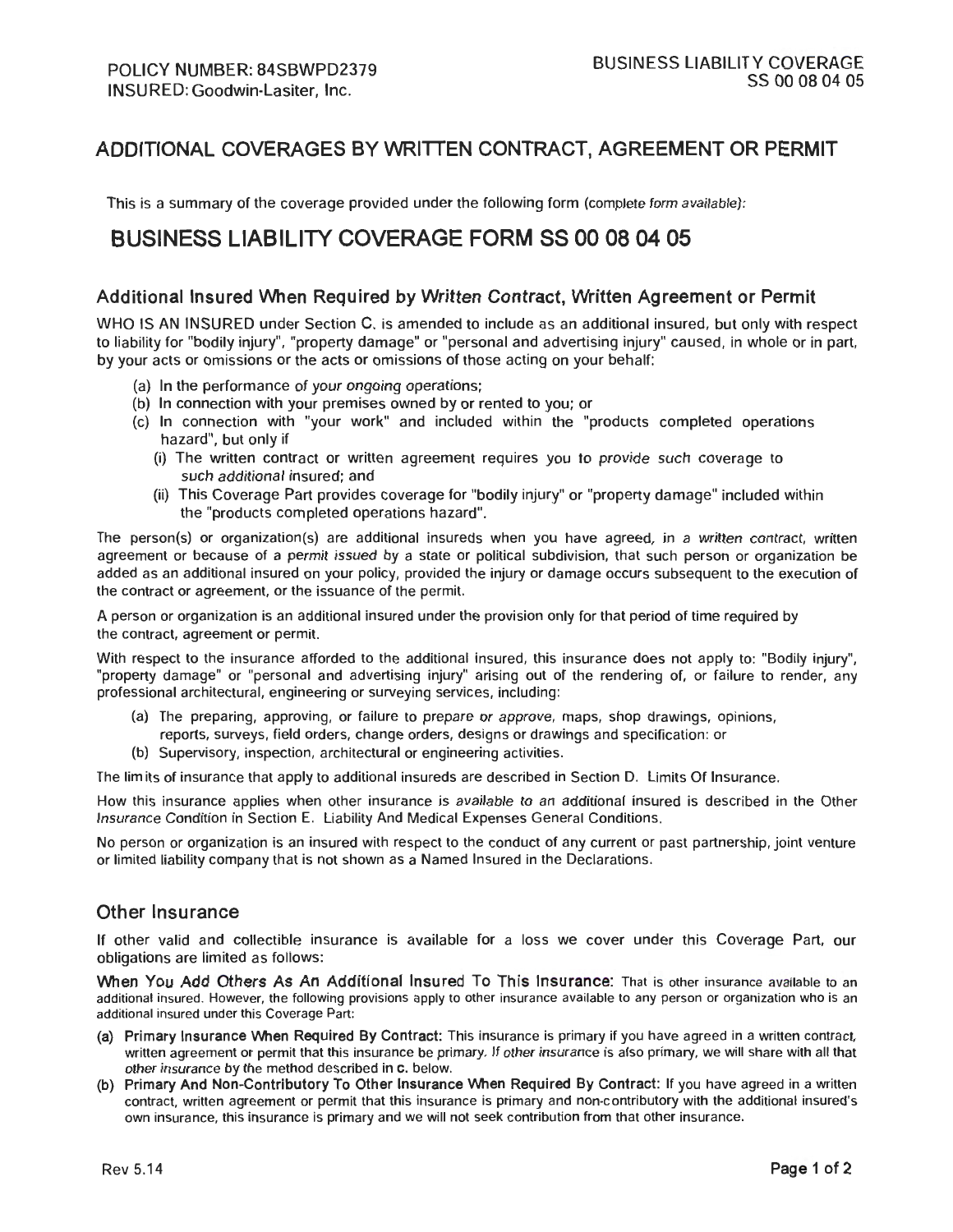## ADDITIONAL COVERAGES BY WRITIEN CONTRACT, AGREEMENT OR PERMIT

This is a summary of the coverage provided under the following form (complete form available):

# BUSINESS LIABILITY COVERAGE FORM SS 00 08 04 05

#### Additional Insured When Required by Written Contract, Written Agreement or Permit

WHO IS AN INSURED under Section C. is amended to include as an additional insured, but only with respect to liability for "bodily injury", "property damage" or "personal and advertising injury" caused, in whole or in part, by your acts or omissions or the acts or omissions of those acting on your behalf:

- (a) In the performance of your ongoing operations;
- (b) In connection with your premises owned by or rented to you; or
- (c) In connection with "your work" and included within the "products completed operations hazard", but only if
	- (i) The written contract or written agreement requires you to provide such coverage to such additional insured; and
	- (ii) This Coverage Part provides coverage for "bodily injury" or "property damage" included within the "products completed operations hazard".

The person(s) or organization(s) are additional insureds when you have agreed, in a written contract, written agreement or because of a permit issued by a state or political subdivision, that such person or organization be added as an additional insured on your policy, provided the injury or damage occurs subsequent to the execution of the contract or agreement, or the issuance of the permit.

A person or organization is an additional insured under the provision only for that period of time required by the contract, agreement or permit.

With respect to the insurance afforded to the additional insured, this insurance does not apply to: "Bodily injury", "property damage" or "personal and advertising injury" arising out of the rendering of, or failure to render, any professional architectural, engineering or surveying services, including:

- (a) The preparing, approving, or failure to prepare or approve, maps, shop drawings, opinions, reports, surveys, field orders, change orders, designs or drawings and specification: or
- (b) Supervisory, inspection, architectural or engineering activities.

The lim its of insurance that apply to additional insureds are described in Section D. Limits Of Insurance.

How this insurance applies when other insurance is available to an additional insured is described in the Other Insurance Condition in Section E. Liability And Medical Expenses General Conditions.

No person or organization is an insured with respect to the conduct of any current or past partnership, joint venture or limited liability company that is not shown as a Named Insured in the Declarations.

#### Other Insurance

If other valid and collectible insurance is available for a loss we cover under this Coverage Part, our obligations are limited as follows :

When You Add Others As An Additional Insured To This Insurance: That is other insurance available to an additional insured. However, the following provisions apply to other insurance available to any person or organization who is an additional insured under this Coverage Part:

- (a) Primary Insurance When Required By Contract: This insurance is primary if you have agreed in a written contract, written agreement or permit that this insurance be primary. If other insurance is also primary, we will share with all that other insurance by the method described in c. below.
- (b) Primary And Non-Contributory To Other Insurance When Required By Contract: If you have agreed in a written contract. written agreement or permit that this insurance is primary and non-contributory with the additional insured's own insurance, this insurance is primary and we will not seek contribution from that other insurance.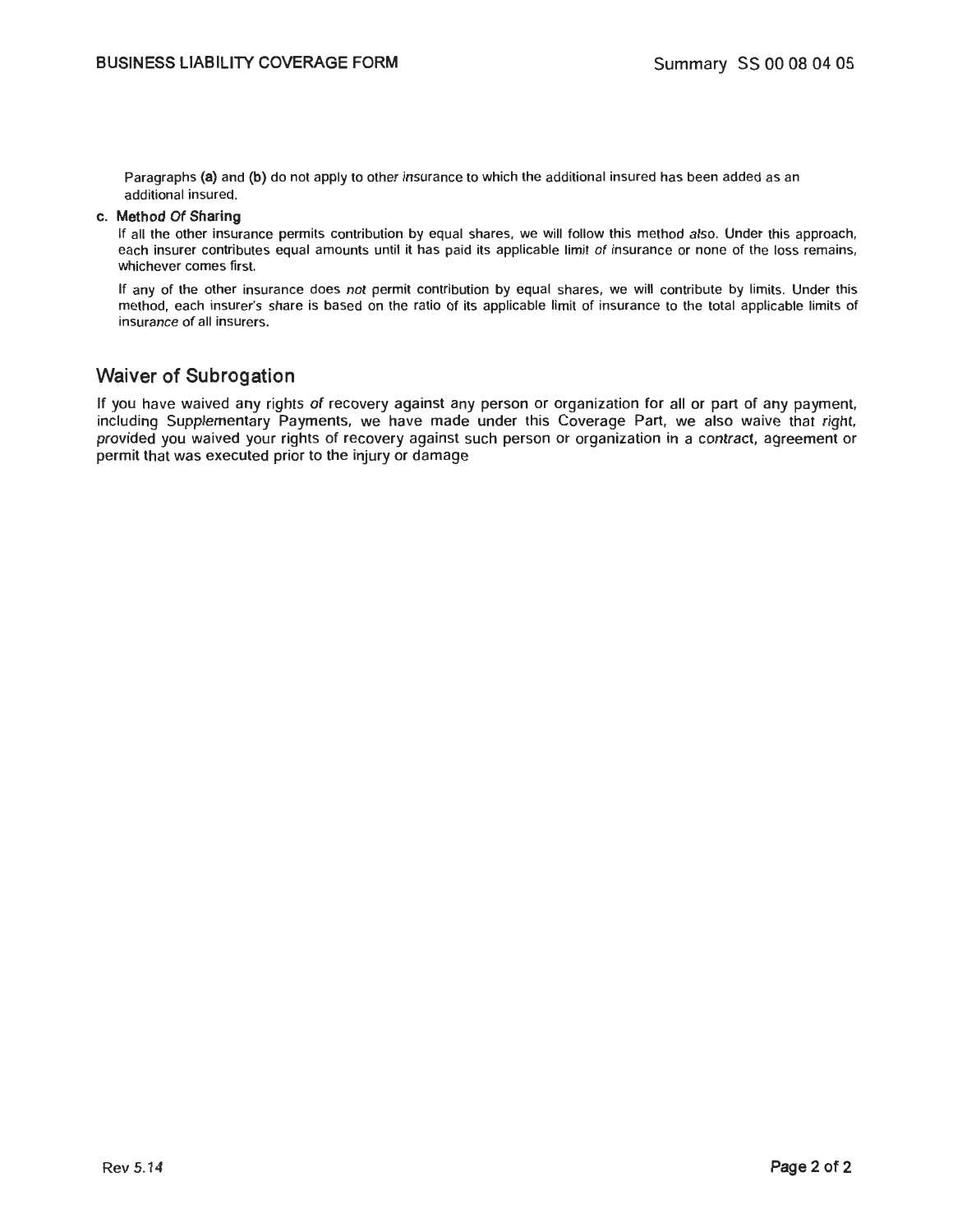Paragraphs (a) and (b) do not apply to other insurance to which the additional insured has been added as an additional insured.

#### c. Method Of Sharing

If all the other insurance permits contribution by equal shares, we will follow this method also. Under this approach, each insurer contributes equal amounts until it has paid its applicable limit of insurance or none of the loss remains, whichever comes first.

If any of the other insurance does not permit contribution by equal shares, we will contribute by limits. Under this method, each insurer's share is based on the ratio of its applicable limit of insurance to the total applicable limits of insurance of all insurers.

### Waiver of Subrogation

If you have waived any rights of recovery against any person or organization for all or part of any payment, including Supplementary Payments, we have made under this Coverage Part, we also waive that right, provided you waived your rights of recovery against such person or organization in a contract, agreement or permit that was executed prior to the injury or damage